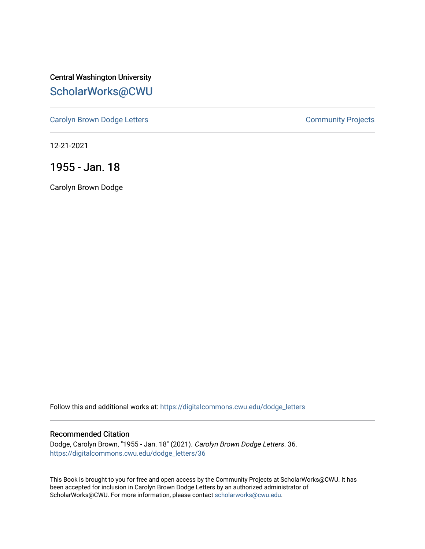Central Washington University [ScholarWorks@CWU](https://digitalcommons.cwu.edu/) 

[Carolyn Brown Dodge Letters](https://digitalcommons.cwu.edu/dodge_letters) **Carolyn Brown Dodge Letters Community Projects** 

12-21-2021

1955 - Jan. 18

Carolyn Brown Dodge

Follow this and additional works at: [https://digitalcommons.cwu.edu/dodge\\_letters](https://digitalcommons.cwu.edu/dodge_letters?utm_source=digitalcommons.cwu.edu%2Fdodge_letters%2F36&utm_medium=PDF&utm_campaign=PDFCoverPages) 

## Recommended Citation

Dodge, Carolyn Brown, "1955 - Jan. 18" (2021). Carolyn Brown Dodge Letters. 36. [https://digitalcommons.cwu.edu/dodge\\_letters/36](https://digitalcommons.cwu.edu/dodge_letters/36?utm_source=digitalcommons.cwu.edu%2Fdodge_letters%2F36&utm_medium=PDF&utm_campaign=PDFCoverPages)

This Book is brought to you for free and open access by the Community Projects at ScholarWorks@CWU. It has been accepted for inclusion in Carolyn Brown Dodge Letters by an authorized administrator of ScholarWorks@CWU. For more information, please contact [scholarworks@cwu.edu](mailto:scholarworks@cwu.edu).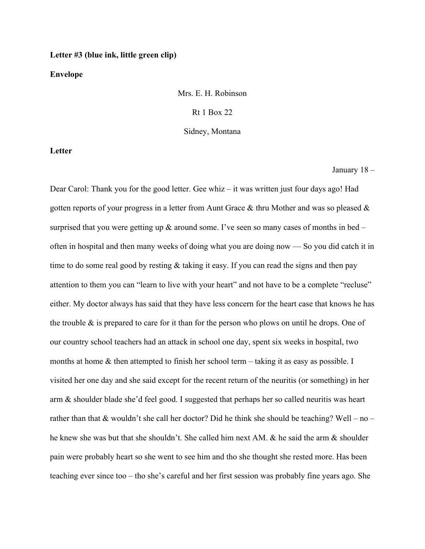## **Letter #3 (blue ink, little green clip)**

## **Envelope**

Mrs. E. H. Robinson Rt 1 Box 22

Sidney, Montana

**Letter**

January 18 –

Dear Carol: Thank you for the good letter. Gee whiz – it was written just four days ago! Had gotten reports of your progress in a letter from Aunt Grace  $\&$  thru Mother and was so pleased  $\&$ surprised that you were getting up  $\&$  around some. I've seen so many cases of months in bed – often in hospital and then many weeks of doing what you are doing now — So you did catch it in time to do some real good by resting & taking it easy. If you can read the signs and then pay attention to them you can "learn to live with your heart" and not have to be a complete "recluse" either. My doctor always has said that they have less concern for the heart case that knows he has the trouble & is prepared to care for it than for the person who plows on until he drops. One of our country school teachers had an attack in school one day, spent six weeks in hospital, two months at home & then attempted to finish her school term – taking it as easy as possible. I visited her one day and she said except for the recent return of the neuritis (or something) in her arm & shoulder blade she'd feel good. I suggested that perhaps her so called neuritis was heart rather than that & wouldn't she call her doctor? Did he think she should be teaching? Well – no – he knew she was but that she shouldn't. She called him next AM. & he said the arm & shoulder pain were probably heart so she went to see him and tho she thought she rested more. Has been teaching ever since too – tho she's careful and her first session was probably fine years ago. She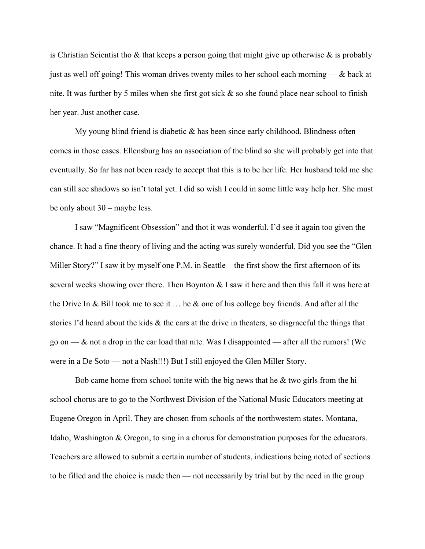is Christian Scientist tho  $\&$  that keeps a person going that might give up otherwise  $\&$  is probably just as well off going! This woman drives twenty miles to her school each morning — & back at nite. It was further by 5 miles when she first got sick & so she found place near school to finish her year. Just another case.

My young blind friend is diabetic  $\&$  has been since early childhood. Blindness often comes in those cases. Ellensburg has an association of the blind so she will probably get into that eventually. So far has not been ready to accept that this is to be her life. Her husband told me she can still see shadows so isn't total yet. I did so wish I could in some little way help her. She must be only about 30 – maybe less.

I saw "Magnificent Obsession" and thot it was wonderful. I'd see it again too given the chance. It had a fine theory of living and the acting was surely wonderful. Did you see the "Glen Miller Story?" I saw it by myself one P.M. in Seattle – the first show the first afternoon of its several weeks showing over there. Then Boynton  $\&$  I saw it here and then this fall it was here at the Drive In & Bill took me to see it  $\dots$  he & one of his college boy friends. And after all the stories I'd heard about the kids & the cars at the drive in theaters, so disgraceful the things that go on —  $\&$  not a drop in the car load that nite. Was I disappointed — after all the rumors! (We were in a De Soto — not a Nash!!!) But I still enjoyed the Glen Miller Story.

Bob came home from school tonite with the big news that he  $\&$  two girls from the hi school chorus are to go to the Northwest Division of the National Music Educators meeting at Eugene Oregon in April. They are chosen from schools of the northwestern states, Montana, Idaho, Washington & Oregon, to sing in a chorus for demonstration purposes for the educators. Teachers are allowed to submit a certain number of students, indications being noted of sections to be filled and the choice is made then — not necessarily by trial but by the need in the group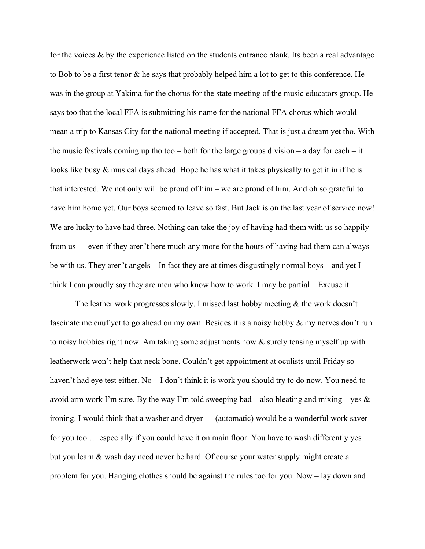for the voices  $\&$  by the experience listed on the students entrance blank. Its been a real advantage to Bob to be a first tenor & he says that probably helped him a lot to get to this conference. He was in the group at Yakima for the chorus for the state meeting of the music educators group. He says too that the local FFA is submitting his name for the national FFA chorus which would mean a trip to Kansas City for the national meeting if accepted. That is just a dream yet tho. With the music festivals coming up tho too – both for the large groups division – a day for each – it looks like busy & musical days ahead. Hope he has what it takes physically to get it in if he is that interested. We not only will be proud of  $\lim$  – we <u>are</u> proud of  $\lim$ . And oh so grateful to have him home yet. Our boys seemed to leave so fast. But Jack is on the last year of service now! We are lucky to have had three. Nothing can take the joy of having had them with us so happily from us — even if they aren't here much any more for the hours of having had them can always be with us. They aren't angels – In fact they are at times disgustingly normal boys – and yet I think I can proudly say they are men who know how to work. I may be partial – Excuse it.

The leather work progresses slowly. I missed last hobby meeting & the work doesn't fascinate me enuf yet to go ahead on my own. Besides it is a noisy hobby & my nerves don't run to noisy hobbies right now. Am taking some adjustments now & surely tensing myself up with leatherwork won't help that neck bone. Couldn't get appointment at oculists until Friday so haven't had eye test either. No – I don't think it is work you should try to do now. You need to avoid arm work I'm sure. By the way I'm told sweeping bad – also bleating and mixing – yes  $\&$ ironing. I would think that a washer and dryer — (automatic) would be a wonderful work saver for you too ... especially if you could have it on main floor. You have to wash differently yes but you learn & wash day need never be hard. Of course your water supply might create a problem for you. Hanging clothes should be against the rules too for you. Now – lay down and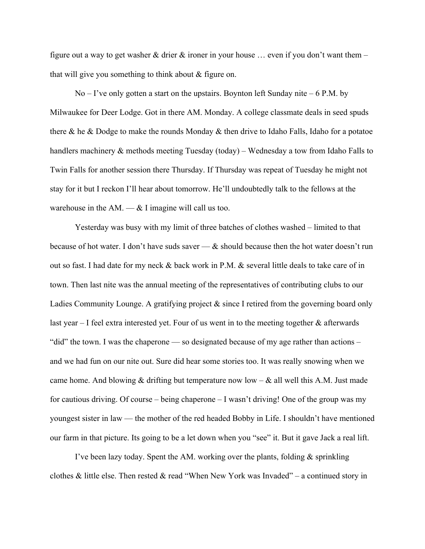figure out a way to get washer & drier & ironer in your house ... even if you don't want them – that will give you something to think about & figure on.

 $No – I've only gotten a start on the upstairs. Boynton left Sunday nite – 6 P.M. by$ Milwaukee for Deer Lodge. Got in there AM. Monday. A college classmate deals in seed spuds there & he & Dodge to make the rounds Monday & then drive to Idaho Falls, Idaho for a potatoe handlers machinery & methods meeting Tuesday (today) – Wednesday a tow from Idaho Falls to Twin Falls for another session there Thursday. If Thursday was repeat of Tuesday he might not stay for it but I reckon I'll hear about tomorrow. He'll undoubtedly talk to the fellows at the warehouse in the  $AM. - & I$  imagine will call us too.

Yesterday was busy with my limit of three batches of clothes washed – limited to that because of hot water. I don't have suds saver  $-\&$  should because then the hot water doesn't run out so fast. I had date for my neck & back work in P.M. & several little deals to take care of in town. Then last nite was the annual meeting of the representatives of contributing clubs to our Ladies Community Lounge. A gratifying project & since I retired from the governing board only last year  $-$  I feel extra interested yet. Four of us went in to the meeting together  $\&$  afterwards "did" the town. I was the chaperone — so designated because of my age rather than actions – and we had fun on our nite out. Sure did hear some stories too. It was really snowing when we came home. And blowing & drifting but temperature now low –  $\&$  all well this A.M. Just made for cautious driving. Of course – being chaperone – I wasn't driving! One of the group was my youngest sister in law — the mother of the red headed Bobby in Life. I shouldn't have mentioned our farm in that picture. Its going to be a let down when you "see" it. But it gave Jack a real lift.

I've been lazy today. Spent the AM. working over the plants, folding & sprinkling clothes & little else. Then rested & read "When New York was Invaded" – a continued story in